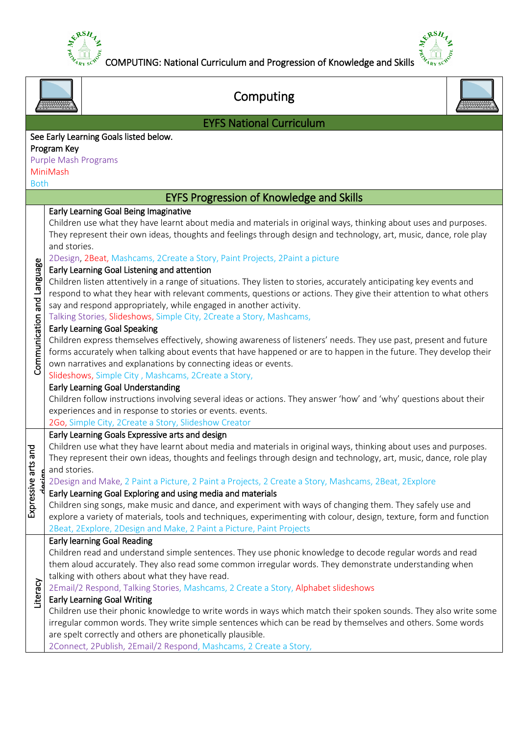



|                            | Computing                                                                                                                                                                                                                                                                                                     |
|----------------------------|---------------------------------------------------------------------------------------------------------------------------------------------------------------------------------------------------------------------------------------------------------------------------------------------------------------|
|                            | <b>EYFS National Curriculum</b>                                                                                                                                                                                                                                                                               |
|                            | See Early Learning Goals listed below.                                                                                                                                                                                                                                                                        |
|                            | Program Key                                                                                                                                                                                                                                                                                                   |
|                            | Purple Mash Programs                                                                                                                                                                                                                                                                                          |
|                            | MiniMash                                                                                                                                                                                                                                                                                                      |
| <b>Both</b>                |                                                                                                                                                                                                                                                                                                               |
|                            | <b>EYFS Progression of Knowledge and Skills</b>                                                                                                                                                                                                                                                               |
|                            | Early Learning Goal Being Imaginative                                                                                                                                                                                                                                                                         |
|                            | Children use what they have learnt about media and materials in original ways, thinking about uses and purposes.<br>They represent their own ideas, thoughts and feelings through design and technology, art, music, dance, role play<br>and stories.                                                         |
|                            | 2Design, 2Beat, Mashcams, 2Create a Story, Paint Projects, 2Paint a picture                                                                                                                                                                                                                                   |
|                            | Early Learning Goal Listening and attention                                                                                                                                                                                                                                                                   |
| Communication and Language | Children listen attentively in a range of situations. They listen to stories, accurately anticipating key events and<br>respond to what they hear with relevant comments, questions or actions. They give their attention to what others<br>say and respond appropriately, while engaged in another activity. |
|                            | Talking Stories, Slideshows, Simple City, 2Create a Story, Mashcams,                                                                                                                                                                                                                                          |
|                            | <b>Early Learning Goal Speaking</b>                                                                                                                                                                                                                                                                           |
|                            | Children express themselves effectively, showing awareness of listeners' needs. They use past, present and future                                                                                                                                                                                             |
|                            | forms accurately when talking about events that have happened or are to happen in the future. They develop their                                                                                                                                                                                              |
|                            | own narratives and explanations by connecting ideas or events.                                                                                                                                                                                                                                                |
|                            | Slideshows, Simple City, Mashcams, 2Create a Story,                                                                                                                                                                                                                                                           |
|                            | Early Learning Goal Understanding                                                                                                                                                                                                                                                                             |
|                            | Children follow instructions involving several ideas or actions. They answer 'how' and 'why' questions about their                                                                                                                                                                                            |
|                            | experiences and in response to stories or events. events.                                                                                                                                                                                                                                                     |
|                            | 2Go, Simple City, 2Create a Story, Slideshow Creator                                                                                                                                                                                                                                                          |
|                            | Early Learning Goals Expressive arts and design                                                                                                                                                                                                                                                               |
| and                        | Children use what they have learnt about media and materials in original ways, thinking about uses and purposes.                                                                                                                                                                                              |
| ť                          | They represent their own ideas, thoughts and feelings through design and technology, art, music, dance, role play                                                                                                                                                                                             |
| œ                          | and stories.<br>2Design and Make, 2 Paint a Picture, 2 Paint a Projects, 2 Create a Story, Mashcams, 2Beat, 2Explore                                                                                                                                                                                          |
| Expressive                 | Early Learning Goal Exploring and using media and materials                                                                                                                                                                                                                                                   |
|                            | Children sing songs, make music and dance, and experiment with ways of changing them. They safely use and                                                                                                                                                                                                     |
|                            | explore a variety of materials, tools and techniques, experimenting with colour, design, texture, form and function                                                                                                                                                                                           |
|                            | 2Beat, 2Explore, 2Design and Make, 2 Paint a Picture, Paint Projects                                                                                                                                                                                                                                          |
|                            | <b>Early learning Goal Reading</b>                                                                                                                                                                                                                                                                            |
|                            | Children read and understand simple sentences. They use phonic knowledge to decode regular words and read                                                                                                                                                                                                     |
|                            | them aloud accurately. They also read some common irregular words. They demonstrate understanding when                                                                                                                                                                                                        |
|                            | talking with others about what they have read.                                                                                                                                                                                                                                                                |
|                            | 2Email/2 Respond, Talking Stories, Mashcams, 2 Create a Story, Alphabet slideshows                                                                                                                                                                                                                            |
| Literacy                   | <b>Early Learning Goal Writing</b>                                                                                                                                                                                                                                                                            |
|                            | Children use their phonic knowledge to write words in ways which match their spoken sounds. They also write some                                                                                                                                                                                              |
|                            | irregular common words. They write simple sentences which can be read by themselves and others. Some words                                                                                                                                                                                                    |
|                            | are spelt correctly and others are phonetically plausible.                                                                                                                                                                                                                                                    |
|                            | 2Connect, 2Publish, 2Email/2 Respond, Mashcams, 2 Create a Story,                                                                                                                                                                                                                                             |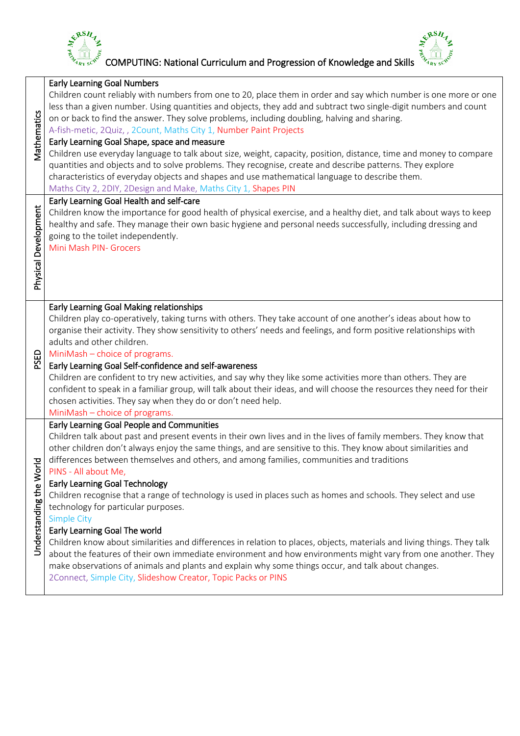

 $\frac{1}{2}$   $\frac{1}{2}$   $\frac{1}{2}$   $\frac{1}{2}$   $\frac{1}{2}$   $\frac{1}{2}$   $\frac{1}{2}$   $\frac{1}{2}$   $\frac{1}{2}$   $\frac{1}{2}$   $\frac{1}{2}$   $\frac{1}{2}$   $\frac{1}{2}$   $\frac{1}{2}$   $\frac{1}{2}$   $\frac{1}{2}$   $\frac{1}{2}$   $\frac{1}{2}$   $\frac{1}{2}$   $\frac{1}{2}$   $\frac{1}{2}$   $\frac{1}{2}$ 

|                      | <b>Early Learning Goal Numbers</b>                                                                                                                                                                                                   |
|----------------------|--------------------------------------------------------------------------------------------------------------------------------------------------------------------------------------------------------------------------------------|
|                      | Children count reliably with numbers from one to 20, place them in order and say which number is one more or one<br>less than a given number. Using quantities and objects, they add and subtract two single-digit numbers and count |
|                      | on or back to find the answer. They solve problems, including doubling, halving and sharing.                                                                                                                                         |
| Vathematics          | A-fish-metic, 2Quiz,, 2Count, Maths City 1, Number Paint Projects                                                                                                                                                                    |
|                      | Early Learning Goal Shape, space and measure                                                                                                                                                                                         |
|                      | Children use everyday language to talk about size, weight, capacity, position, distance, time and money to compare                                                                                                                   |
|                      | quantities and objects and to solve problems. They recognise, create and describe patterns. They explore<br>characteristics of everyday objects and shapes and use mathematical language to describe them.                           |
|                      | Maths City 2, 2DIY, 2Design and Make, Maths City 1, Shapes PIN                                                                                                                                                                       |
|                      | Early Learning Goal Health and self-care                                                                                                                                                                                             |
| Physical Development | Children know the importance for good health of physical exercise, and a healthy diet, and talk about ways to keep                                                                                                                   |
|                      | healthy and safe. They manage their own basic hygiene and personal needs successfully, including dressing and                                                                                                                        |
|                      | going to the toilet independently.<br>Mini Mash PIN- Grocers                                                                                                                                                                         |
|                      |                                                                                                                                                                                                                                      |
|                      |                                                                                                                                                                                                                                      |
|                      |                                                                                                                                                                                                                                      |
|                      |                                                                                                                                                                                                                                      |
|                      | Early Learning Goal Making relationships                                                                                                                                                                                             |
|                      | Children play co-operatively, taking turns with others. They take account of one another's ideas about how to<br>organise their activity. They show sensitivity to others' needs and feelings, and form positive relationships with  |
|                      | adults and other children.                                                                                                                                                                                                           |
|                      | MiniMash - choice of programs.                                                                                                                                                                                                       |
| PSED                 | Early Learning Goal Self-confidence and self-awareness                                                                                                                                                                               |
|                      | Children are confident to try new activities, and say why they like some activities more than others. They are                                                                                                                       |
|                      | confident to speak in a familiar group, will talk about their ideas, and will choose the resources they need for their                                                                                                               |
|                      | chosen activities. They say when they do or don't need help.<br>MiniMash - choice of programs.                                                                                                                                       |
|                      | Early Learning Goal People and Communities                                                                                                                                                                                           |
|                      | Children talk about past and present events in their own lives and in the lives of family members. They know that                                                                                                                    |
|                      | other children don't always enjoy the same things, and are sensitive to this. They know about similarities and                                                                                                                       |
|                      | differences between themselves and others, and among families, communities and traditions                                                                                                                                            |
|                      | PINS - All about Me,                                                                                                                                                                                                                 |
|                      | <b>Early Learning Goal Technology</b><br>Children recognise that a range of technology is used in places such as homes and schools. They select and use                                                                              |
|                      | technology for particular purposes.                                                                                                                                                                                                  |
|                      | <b>Simple City</b>                                                                                                                                                                                                                   |
|                      | Early Learning Goal The world                                                                                                                                                                                                        |
| Understanding the W  | Children know about similarities and differences in relation to places, objects, materials and living things. They talk                                                                                                              |
|                      | about the features of their own immediate environment and how environments might vary from one another. They                                                                                                                         |
|                      | make observations of animals and plants and explain why some things occur, and talk about changes.<br>2Connect, Simple City, Slideshow Creator, Topic Packs or PINS                                                                  |
|                      |                                                                                                                                                                                                                                      |
|                      |                                                                                                                                                                                                                                      |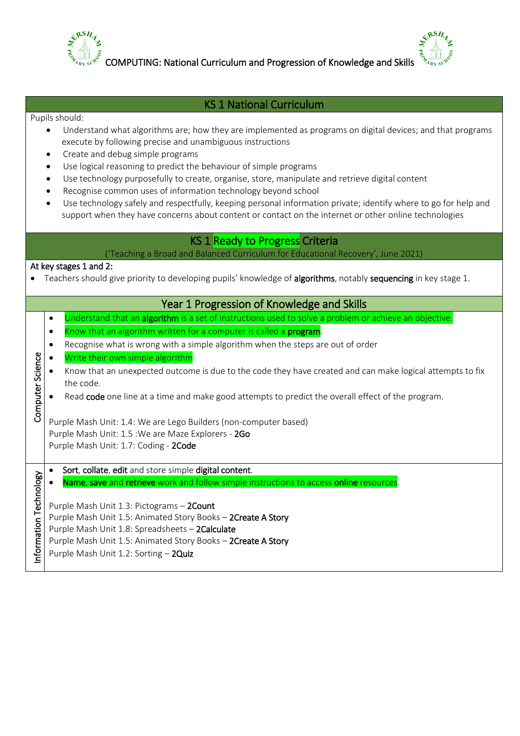

COMPUTING: National Curriculum and Progression of Knowledge and Skills

ERSH

## KS 1 National Curriculum

#### Pupils should:

- Understand what algorithms are; how they are implemented as programs on digital devices; and that programs execute by following precise and unambiguous instructions
- Create and debug simple programs
- Use logical reasoning to predict the behaviour of simple programs
- Use technology purposefully to create, organise, store, manipulate and retrieve digital content
- Recognise common uses of information technology beyond school
- Use technology safely and respectfully, keeping personal information private; identify where to go for help and support when they have concerns about content or contact on the internet or other online technologies

# **KS 1 Ready to Progress Criteria**

('Teaching a Broad and Balanced Curriculum for Educational Recovery', June 2021)

### At key stages 1 and 2:

Teachers should give priority to developing pupils' knowledge of algorithms, notably sequencing in key stage 1.

|                          |           | Year 1 Progression of Knowledge and Skills                                                                |
|--------------------------|-----------|-----------------------------------------------------------------------------------------------------------|
|                          | $\bullet$ | Understand that an algorithm is a set of instructions used to solve a problem or achieve an objective.    |
|                          |           | Know that an algorithm written for a computer is called a <b>program</b> .                                |
|                          | $\bullet$ | Recognise what is wrong with a simple algorithm when the steps are out of order                           |
|                          |           | Write their own simple algorithm                                                                          |
| Computer Science         |           | Know that an unexpected outcome is due to the code they have created and can make logical attempts to fix |
|                          |           | the code.                                                                                                 |
|                          |           | Read code one line at a time and make good attempts to predict the overall effect of the program.         |
|                          |           |                                                                                                           |
|                          |           | Purple Mash Unit: 1.4: We are Lego Builders (non-computer based)                                          |
|                          |           | Purple Mash Unit: 1.5 : We are Maze Explorers - 2Go                                                       |
|                          |           | Purple Mash Unit: 1.7: Coding - 2Code                                                                     |
|                          |           | Sort, collate, edit and store simple digital content.                                                     |
| nformation<br>Technology |           | Name, save and retrieve work and follow simple instructions to access online resources.                   |
|                          |           |                                                                                                           |
|                          |           | Purple Mash Unit 1.3: Pictograms - 2Count                                                                 |
|                          |           | Purple Mash Unit 1.5: Animated Story Books - 2Create A Story                                              |
|                          |           | Purple Mash Unit 1.8: Spreadsheets - 2Calculate                                                           |
|                          |           | Purple Mash Unit 1.5: Animated Story Books - 2Create A Story                                              |
|                          |           | Purple Mash Unit 1.2: Sorting - 2Quiz                                                                     |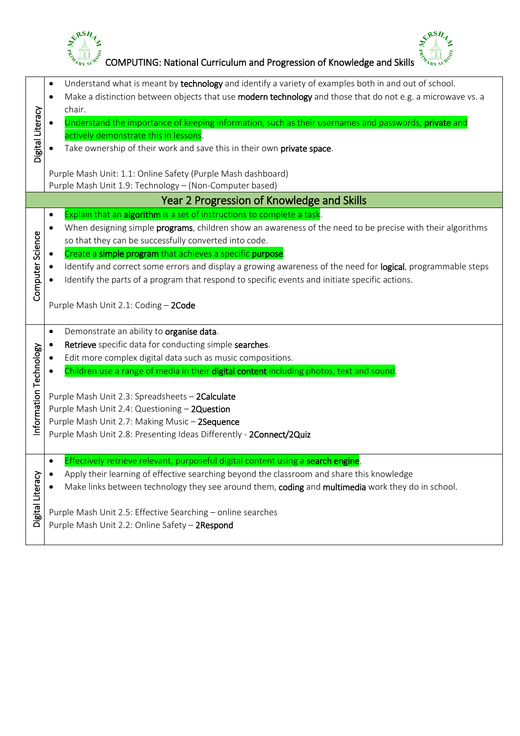



|                            | ERSH,<br>&RSH<br>COMPUTING: National Curriculum and Progression of Knowledge and Skills                                                                                                                                                                                                                                                                                                                                                                                                                                                                                                                                   |
|----------------------------|---------------------------------------------------------------------------------------------------------------------------------------------------------------------------------------------------------------------------------------------------------------------------------------------------------------------------------------------------------------------------------------------------------------------------------------------------------------------------------------------------------------------------------------------------------------------------------------------------------------------------|
| Digital Literacy           | Understand what is meant by technology and identify a variety of examples both in and out of school.<br>$\bullet$<br>Make a distinction between objects that use modern technology and those that do not e.g. a microwave vs. a<br>$\bullet$<br>chair.<br>Understand the importance of keeping information, such as their usernames and passwords, private and<br>$\bullet$<br>actively demonstrate this in lessons.<br>Take ownership of their work and save this in their own private space.<br>Purple Mash Unit: 1.1: Online Safety (Purple Mash dashboard)<br>Purple Mash Unit 1.9: Technology - (Non-Computer based) |
|                            | Year 2 Progression of Knowledge and Skills                                                                                                                                                                                                                                                                                                                                                                                                                                                                                                                                                                                |
| Computer Science           | Explain that an algorithm is a set of instructions to complete a task.<br>$\bullet$<br>When designing simple programs, children show an awareness of the need to be precise with their algorithms<br>$\bullet$<br>so that they can be successfully converted into code.<br>Create a simple program that achieves a specific purpose.<br>Identify and correct some errors and display a growing awareness of the need for logical, programmable steps<br>Identify the parts of a program that respond to specific events and initiate specific actions.<br>Purple Mash Unit 2.1: Coding - 2Code                            |
| mation Technology<br>Infor | Demonstrate an ability to organise data.<br>$\bullet$<br>Retrieve specific data for conducting simple searches.<br>Edit more complex digital data such as music compositions.<br>Children use a range of media in their digital content including photos, text and sound.<br>Purple Mash Unit 2.3: Spreadsheets - 2Calculate<br>Purple Mash Unit 2.4: Questioning - 2Question<br>Purple Mash Unit 2.7: Making Music - 2Sequence<br>Purple Mash Unit 2.8: Presenting Ideas Differently - 2Connect/2Quiz                                                                                                                    |
| Digital Literacy           | Effectively retrieve relevant, purposeful digital content using a search engine.<br>$\bullet$<br>Apply their learning of effective searching beyond the classroom and share this knowledge<br>٠<br>Make links between technology they see around them, coding and multimedia work they do in school.<br>Purple Mash Unit 2.5: Effective Searching - online searches<br>Purple Mash Unit 2.2: Online Safety - 2Respond                                                                                                                                                                                                     |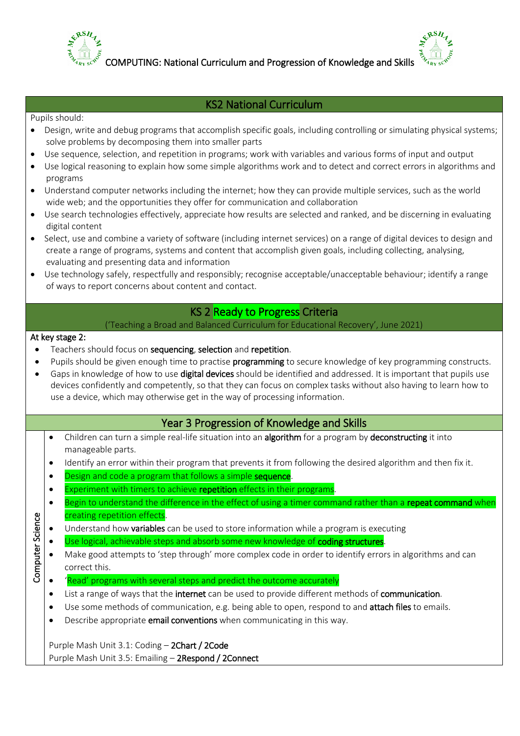

COMPUTING: National Curriculum and Progression of Knowledge and Skills

## KS2 National Curriculum

#### Pupils should:

- Design, write and debug programs that accomplish specific goals, including controlling or simulating physical systems; solve problems by decomposing them into smaller parts
- Use sequence, selection, and repetition in programs; work with variables and various forms of input and output
- Use logical reasoning to explain how some simple algorithms work and to detect and correct errors in algorithms and programs
- Understand computer networks including the internet; how they can provide multiple services, such as the world wide web; and the opportunities they offer for communication and collaboration
- Use search technologies effectively, appreciate how results are selected and ranked, and be discerning in evaluating digital content
- Select, use and combine a variety of software (including internet services) on a range of digital devices to design and create a range of programs, systems and content that accomplish given goals, including collecting, analysing, evaluating and presenting data and information
- Use technology safely, respectfully and responsibly; recognise acceptable/unacceptable behaviour; identify a range of ways to report concerns about content and contact.

# KS 2 Ready to Progress Criteria

### ('Teaching a Broad and Balanced Curriculum for Educational Recovery', June 2021)

#### At key stage 2:

- Teachers should focus on sequencing, selection and repetition.
- Pupils should be given enough time to practise **programming** to secure knowledge of key programming constructs.
- Gaps in knowledge of how to use digital devices should be identified and addressed. It is important that pupils use devices confidently and competently, so that they can focus on complex tasks without also having to learn how to use a device, which may otherwise get in the way of processing information.

### Year 3 Progression of Knowledge and Skills

- Children can turn a simple real-life situation into an algorithm for a program by deconstructing it into manageable parts.
- Identify an error within their program that prevents it from following the desired algorithm and then fix it.
- Design and code a program that follows a simple **sequence**.
- Experiment with timers to achieve repetition effects in their programs.
- Begin to understand the difference in the effect of using a timer command rather than a repeat command when creating repetition effects.
- Computer Science Computer Science Understand how variables can be used to store information while a program is executing
	- Use logical, achievable steps and absorb some new knowledge of coding structures.
	- Make good attempts to 'step through' more complex code in order to identify errors in algorithms and can correct this.
	- $\bullet$  'Read' programs with several steps and predict the outcome accurately
	- List a range of ways that the internet can be used to provide different methods of communication.
	- Use some methods of communication, e.g. being able to open, respond to and attach files to emails.
	- **•** Describe appropriate **email conventions** when communicating in this way.

Purple Mash Unit 3.1: Coding – 2Chart / 2Code Purple Mash Unit 3.5: Emailing – 2Respond / 2Connect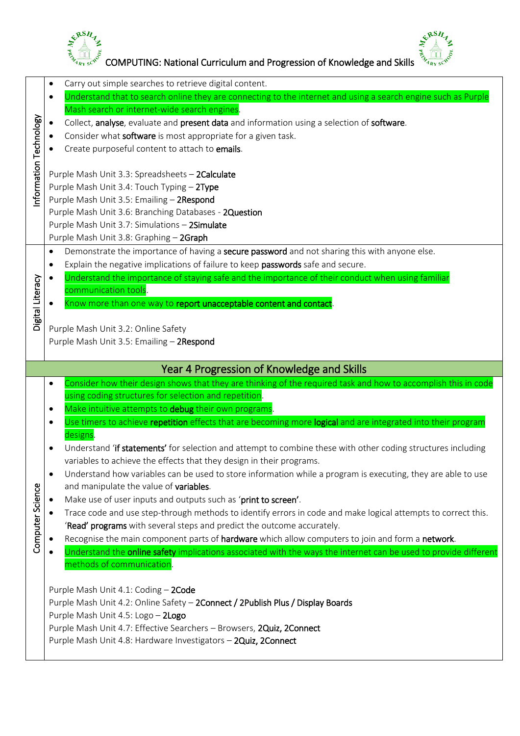



 $\begin{bmatrix} \xi^{\beta} & \xi^{\beta} & \xi^{\beta} \ \xi^{\gamma} & \xi^{\gamma} & \xi^{\gamma} \end{bmatrix}$  COMPUTING: National Curriculum and Progression of Knowledge and Skills  $\begin{bmatrix} \xi^{\beta} & \xi^{\gamma} \ \xi^{\gamma} & \xi^{\gamma} \end{bmatrix}$ 

|                          | $\bullet$ | Carry out simple searches to retrieve digital content.                                                                                                                                  |
|--------------------------|-----------|-----------------------------------------------------------------------------------------------------------------------------------------------------------------------------------------|
|                          | $\bullet$ | Understand that to search online they are connecting to the internet and using a search engine such as Purple                                                                           |
|                          |           | Mash search or internet-wide search engines.                                                                                                                                            |
|                          |           | Collect, analyse, evaluate and present data and information using a selection of software.                                                                                              |
|                          |           | Consider what software is most appropriate for a given task.                                                                                                                            |
|                          |           | Create purposeful content to attach to emails.                                                                                                                                          |
| nformation<br>Technology |           |                                                                                                                                                                                         |
|                          |           | Purple Mash Unit 3.3: Spreadsheets - 2Calculate                                                                                                                                         |
|                          |           | Purple Mash Unit 3.4: Touch Typing - 2Type                                                                                                                                              |
|                          |           | Purple Mash Unit 3.5: Emailing - 2Respond<br>Purple Mash Unit 3.6: Branching Databases - 2Question                                                                                      |
|                          |           | Purple Mash Unit 3.7: Simulations - 2Simulate                                                                                                                                           |
|                          |           | Purple Mash Unit 3.8: Graphing - 2Graph                                                                                                                                                 |
|                          | $\bullet$ | Demonstrate the importance of having a secure password and not sharing this with anyone else.                                                                                           |
|                          | $\bullet$ | Explain the negative implications of failure to keep passwords safe and secure.                                                                                                         |
|                          |           | Understand the importance of staying safe and the importance of their conduct when using familiar                                                                                       |
| Digital Literacy         |           | communication tools.                                                                                                                                                                    |
|                          |           | Know more than one way to report unacceptable content and contact.                                                                                                                      |
|                          |           |                                                                                                                                                                                         |
|                          |           | Purple Mash Unit 3.2: Online Safety                                                                                                                                                     |
|                          |           | Purple Mash Unit 3.5: Emailing - 2Respond                                                                                                                                               |
|                          |           |                                                                                                                                                                                         |
|                          |           |                                                                                                                                                                                         |
|                          |           | Year 4 Progression of Knowledge and Skills                                                                                                                                              |
|                          | ٠         | Consider how their design shows that they are thinking of the required task and how to accomplish this in code                                                                          |
|                          |           | using coding structures for selection and repetition.                                                                                                                                   |
|                          | ٠         | Make intuitive attempts to debug their own programs.                                                                                                                                    |
|                          | ٠         | Use timers to achieve repetition effects that are becoming more logical and are integrated into their program                                                                           |
|                          |           | designs.                                                                                                                                                                                |
|                          |           | Understand 'if statements' for selection and attempt to combine these with other coding structures including                                                                            |
|                          |           | variables to achieve the effects that they design in their programs.                                                                                                                    |
|                          | $\bullet$ | Understand how variables can be used to store information while a program is executing, they are able to use                                                                            |
|                          |           | and manipulate the value of variables.                                                                                                                                                  |
|                          |           | Make use of user inputs and outputs such as 'print to screen'.                                                                                                                          |
|                          |           | Trace code and use step-through methods to identify errors in code and make logical attempts to correct this.<br>'Read' programs with several steps and predict the outcome accurately. |
|                          |           | Recognise the main component parts of hardware which allow computers to join and form a network.                                                                                        |
| Computer Science         |           | Understand the <b>online safety</b> implications associated with the ways the internet can be used to provide different                                                                 |
|                          |           | methods of communication.                                                                                                                                                               |
|                          |           |                                                                                                                                                                                         |
|                          |           | Purple Mash Unit 4.1: Coding - 2Code                                                                                                                                                    |
|                          |           | Purple Mash Unit 4.2: Online Safety - 2Connect / 2Publish Plus / Display Boards                                                                                                         |
|                          |           | Purple Mash Unit 4.5: Logo - 2Logo                                                                                                                                                      |
|                          |           | Purple Mash Unit 4.7: Effective Searchers - Browsers, 2Quiz, 2Connect                                                                                                                   |
|                          |           | Purple Mash Unit 4.8: Hardware Investigators - 2Quiz, 2Connect                                                                                                                          |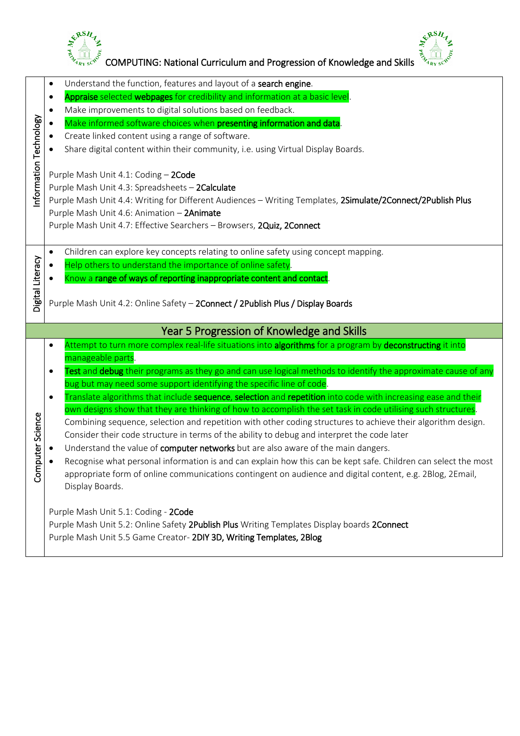



 $\begin{bmatrix} \xi^{\beta\beta}H_{\gamma}, & \xi^{\beta\gamma}H_{\gamma} \ \xi^{\gamma}H_{\gamma} \xi^{\gamma} \end{bmatrix}$  COMPUTING: National Curriculum and Progression of Knowledge and Skills  $\frac{\xi^{\beta\gamma}}{\xi^{\gamma}H_{\gamma}H_{\gamma}S_{\gamma}S_{\gamma}}$ 

|                       | $\bullet$ | Understand the function, features and layout of a search engine.                                                                                                                                                                                                                                                              |
|-----------------------|-----------|-------------------------------------------------------------------------------------------------------------------------------------------------------------------------------------------------------------------------------------------------------------------------------------------------------------------------------|
|                       | $\bullet$ | Appraise selected webpages for credibility and information at a basic level.                                                                                                                                                                                                                                                  |
|                       | ٠         | Make improvements to digital solutions based on feedback.                                                                                                                                                                                                                                                                     |
|                       |           | Make informed software choices when presenting information and data.                                                                                                                                                                                                                                                          |
|                       |           | Create linked content using a range of software.                                                                                                                                                                                                                                                                              |
|                       |           | Share digital content within their community, i.e. using Virtual Display Boards.                                                                                                                                                                                                                                              |
| nformation Technology |           | Purple Mash Unit 4.1: Coding - 2Code<br>Purple Mash Unit 4.3: Spreadsheets - 2Calculate<br>Purple Mash Unit 4.4: Writing for Different Audiences - Writing Templates, 2Simulate/2Connect/2Publish Plus<br>Purple Mash Unit 4.6: Animation - 2Animate<br>Purple Mash Unit 4.7: Effective Searchers - Browsers, 2Quiz, 2Connect |
|                       |           |                                                                                                                                                                                                                                                                                                                               |
|                       | $\bullet$ | Children can explore key concepts relating to online safety using concept mapping.                                                                                                                                                                                                                                            |
| Digital Literacy      |           | Help others to understand the importance of online safety.                                                                                                                                                                                                                                                                    |
|                       |           | Know a range of ways of reporting inappropriate content and contact.                                                                                                                                                                                                                                                          |
|                       |           |                                                                                                                                                                                                                                                                                                                               |
|                       |           | Purple Mash Unit 4.2: Online Safety - 2Connect / 2Publish Plus / Display Boards                                                                                                                                                                                                                                               |
|                       |           | Year 5 Progression of Knowledge and Skills                                                                                                                                                                                                                                                                                    |
|                       | $\bullet$ | Attempt to turn more complex real-life situations into algorithms for a program by deconstructing it into                                                                                                                                                                                                                     |
|                       |           | manageable parts.                                                                                                                                                                                                                                                                                                             |
|                       | $\bullet$ | Test and debug their programs as they go and can use logical methods to identify the approximate cause of any                                                                                                                                                                                                                 |
|                       |           | bug but may need some support identifying the specific line of code.                                                                                                                                                                                                                                                          |
|                       | $\bullet$ | Translate algorithms that include sequence, selection and repetition into code with increasing ease and their                                                                                                                                                                                                                 |
|                       |           | own designs show that they are thinking of how to accomplish the set task in code utilising such structures.                                                                                                                                                                                                                  |
|                       |           | Combining sequence, selection and repetition with other coding structures to achieve their algorithm design.                                                                                                                                                                                                                  |
|                       |           | Consider their code structure in terms of the ability to debug and interpret the code later                                                                                                                                                                                                                                   |
| puter Science         |           | Understand the value of computer networks but are also aware of the main dangers.<br>Recognise what personal information is and can explain how this can be kept safe. Children can select the most                                                                                                                           |
| Čσ                    |           | appropriate form of online communications contingent on audience and digital content, e.g. 2Blog, 2Email,<br>Display Boards.                                                                                                                                                                                                  |
|                       |           |                                                                                                                                                                                                                                                                                                                               |
|                       |           | Purple Mash Unit 5.1: Coding - 2Code                                                                                                                                                                                                                                                                                          |
|                       |           | Purple Mash Unit 5.2: Online Safety 2Publish Plus Writing Templates Display boards 2Connect<br>Purple Mash Unit 5.5 Game Creator- 2DIY 3D, Writing Templates, 2Blog                                                                                                                                                           |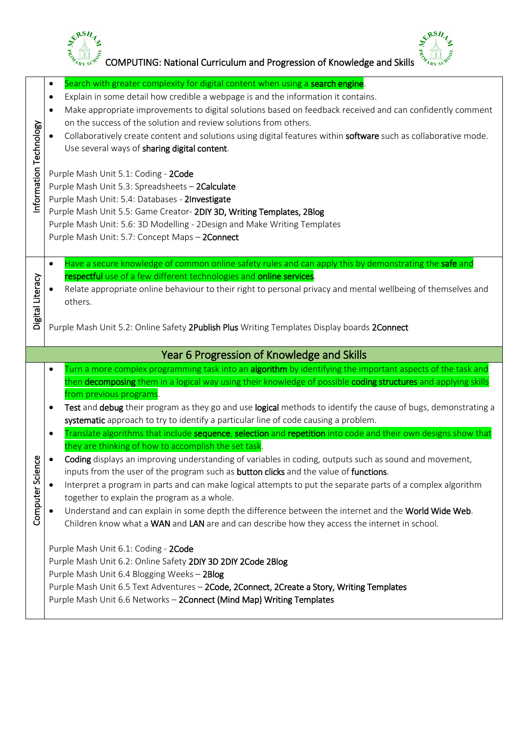



|                        | Search with greater complexity for digital content when using a search engine.<br>$\bullet$<br>Explain in some detail how credible a webpage is and the information it contains.<br>$\bullet$                                                                                                                                                                                                                                                                                                                                                                                                                                                                                                                                                                |
|------------------------|--------------------------------------------------------------------------------------------------------------------------------------------------------------------------------------------------------------------------------------------------------------------------------------------------------------------------------------------------------------------------------------------------------------------------------------------------------------------------------------------------------------------------------------------------------------------------------------------------------------------------------------------------------------------------------------------------------------------------------------------------------------|
|                        | Make appropriate improvements to digital solutions based on feedback received and can confidently comment<br>$\bullet$<br>on the success of the solution and review solutions from others.<br>Collaboratively create content and solutions using digital features within software such as collaborative mode.<br>Use several ways of sharing digital content.                                                                                                                                                                                                                                                                                                                                                                                                |
| Information Technology | Purple Mash Unit 5.1: Coding - 2Code<br>Purple Mash Unit 5.3: Spreadsheets - 2Calculate<br>Purple Mash Unit: 5.4: Databases - 2Investigate<br>Purple Mash Unit 5.5: Game Creator- 2DIY 3D, Writing Templates, 2Blog<br>Purple Mash Unit: 5.6: 3D Modelling - 2Design and Make Writing Templates<br>Purple Mash Unit: 5.7: Concept Maps - 2Connect                                                                                                                                                                                                                                                                                                                                                                                                            |
| Digital Literacy       | Have a secure knowledge of common online safety rules and can apply this by demonstrating the safe and<br>$\bullet$<br>respectful use of a few different technologies and online services.<br>Relate appropriate online behaviour to their right to personal privacy and mental wellbeing of themselves and<br>others.<br>Purple Mash Unit 5.2: Online Safety 2Publish Plus Writing Templates Display boards 2Connect                                                                                                                                                                                                                                                                                                                                        |
|                        |                                                                                                                                                                                                                                                                                                                                                                                                                                                                                                                                                                                                                                                                                                                                                              |
|                        | Year 6 Progression of Knowledge and Skills                                                                                                                                                                                                                                                                                                                                                                                                                                                                                                                                                                                                                                                                                                                   |
|                        | Turn a more complex programming task into an algorithm by identifying the important aspects of the task and<br>$\bullet$<br>then decomposing them in a logical way using their knowledge of possible coding structures and applying skills<br>from previous programs.<br>Test and debug their program as they go and use logical methods to identify the cause of bugs, demonstrating a<br>$\bullet$<br>systematic approach to try to identify a particular line of code causing a problem.                                                                                                                                                                                                                                                                  |
| بهِ<br>Computer Scienc | Translate algorithms that include sequence, selection and repetition into code and their own designs show that<br>$\bullet$<br>they are thinking of how to accomplish the set task<br>Coding displays an improving understanding of variables in coding, outputs such as sound and movement,<br>inputs from the user of the program such as button clicks and the value of functions.<br>Interpret a program in parts and can make logical attempts to put the separate parts of a complex algorithm<br>together to explain the program as a whole.<br>Understand and can explain in some depth the difference between the internet and the World Wide Web.<br>Children know what a WAN and LAN are and can describe how they access the internet in school. |